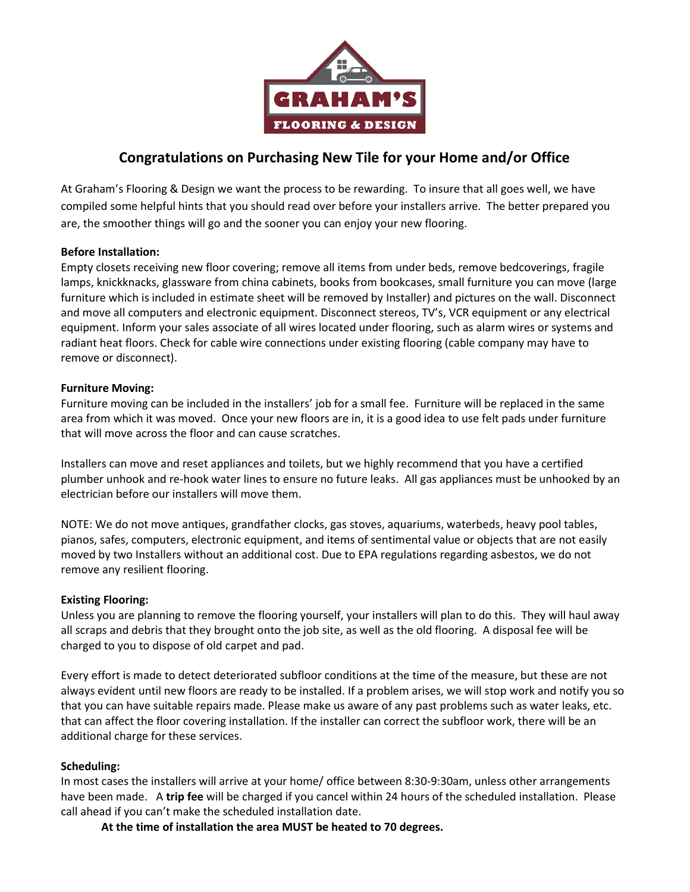

# Congratulations on Purchasing New Tile for your Home and/or Office

At Graham's Flooring & Design we want the process to be rewarding. To insure that all goes well, we have compiled some helpful hints that you should read over before your installers arrive. The better prepared you are, the smoother things will go and the sooner you can enjoy your new flooring.

# Before Installation:

Empty closets receiving new floor covering; remove all items from under beds, remove bedcoverings, fragile lamps, knickknacks, glassware from china cabinets, books from bookcases, small furniture you can move (large furniture which is included in estimate sheet will be removed by Installer) and pictures on the wall. Disconnect and move all computers and electronic equipment. Disconnect stereos, TV's, VCR equipment or any electrical equipment. Inform your sales associate of all wires located under flooring, such as alarm wires or systems and radiant heat floors. Check for cable wire connections under existing flooring (cable company may have to remove or disconnect).

# Furniture Moving:

Furniture moving can be included in the installers' job for a small fee. Furniture will be replaced in the same area from which it was moved. Once your new floors are in, it is a good idea to use felt pads under furniture that will move across the floor and can cause scratches.

Installers can move and reset appliances and toilets, but we highly recommend that you have a certified plumber unhook and re-hook water lines to ensure no future leaks. All gas appliances must be unhooked by an electrician before our installers will move them.

NOTE: We do not move antiques, grandfather clocks, gas stoves, aquariums, waterbeds, heavy pool tables, pianos, safes, computers, electronic equipment, and items of sentimental value or objects that are not easily moved by two Installers without an additional cost. Due to EPA regulations regarding asbestos, we do not remove any resilient flooring.

# Existing Flooring:

Unless you are planning to remove the flooring yourself, your installers will plan to do this. They will haul away all scraps and debris that they brought onto the job site, as well as the old flooring. A disposal fee will be charged to you to dispose of old carpet and pad.

Every effort is made to detect deteriorated subfloor conditions at the time of the measure, but these are not always evident until new floors are ready to be installed. If a problem arises, we will stop work and notify you so that you can have suitable repairs made. Please make us aware of any past problems such as water leaks, etc. that can affect the floor covering installation. If the installer can correct the subfloor work, there will be an additional charge for these services.

## Scheduling:

In most cases the installers will arrive at your home/ office between 8:30-9:30am, unless other arrangements have been made. A trip fee will be charged if you cancel within 24 hours of the scheduled installation. Please call ahead if you can't make the scheduled installation date.

At the time of installation the area MUST be heated to 70 degrees.